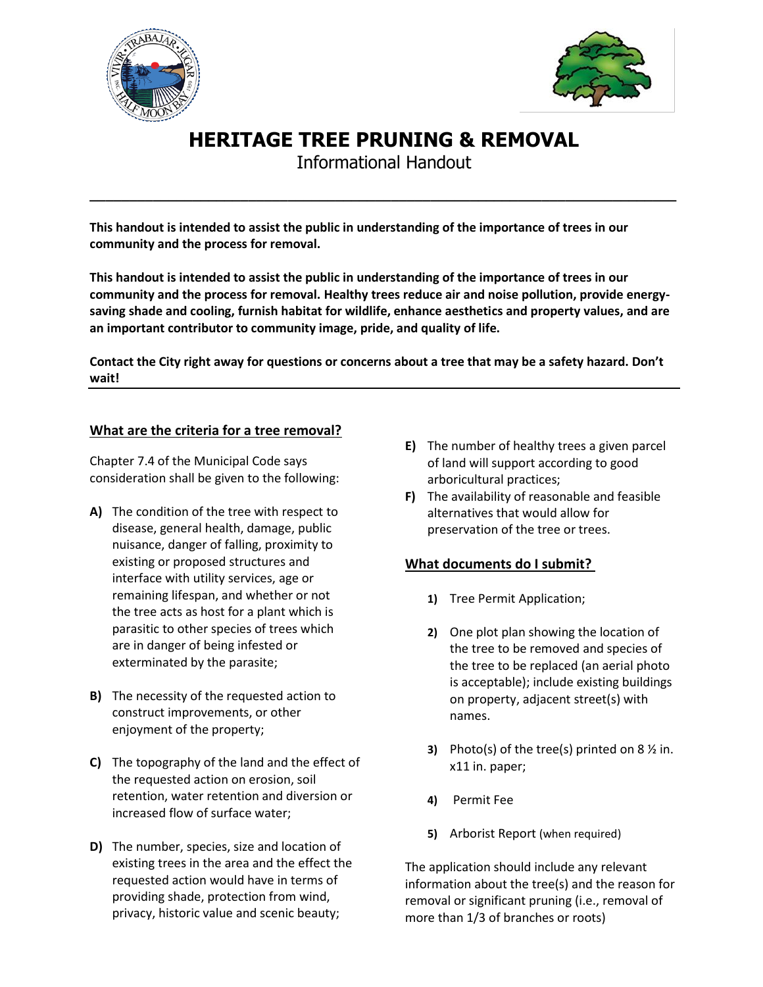



# **HERITAGE TREE PRUNING & REMOVAL**

Informational Handout

**\_\_\_\_\_\_\_\_\_\_\_\_\_\_\_\_\_\_\_\_\_\_\_\_\_\_\_\_\_\_\_\_\_\_\_\_\_\_\_\_\_\_\_\_\_\_\_\_\_\_\_\_\_\_\_\_\_\_\_\_\_\_\_\_\_\_\_\_\_\_\_\_\_\_**

**This handout is intended to assist the public in understanding of the importance of trees in our community and the process for removal.**

**This handout is intended to assist the public in understanding of the importance of trees in our community and the process for removal. Healthy trees reduce air and noise pollution, provide energysaving shade and cooling, furnish habitat for wildlife, enhance aesthetics and property values, and are an important contributor to community image, pride, and quality of life.**

**Contact the City right away for questions or concerns about a tree that may be a safety hazard. Don't wait!**

## **What are the criteria for a tree removal?**

Chapter 7.4 of the Municipal Code says consideration shall be given to the following:

- **A)** The condition of the tree with respect to disease, general health, damage, public nuisance, danger of falling, proximity to existing or proposed structures and interface with utility services, age or remaining lifespan, and whether or not the tree acts as host for a plant which is parasitic to other species of trees which are in danger of being infested or exterminated by the parasite;
- **B)** The necessity of the requested action to construct improvements, or other enjoyment of the property;
- **C)** The topography of the land and the effect of the requested action on erosion, soil retention, water retention and diversion or increased flow of surface water;
- **D)** The number, species, size and location of existing trees in the area and the effect the requested action would have in terms of providing shade, protection from wind, privacy, historic value and scenic beauty;
- **E)** The number of healthy trees a given parcel of land will support according to good arboricultural practices;
- **F)** The availability of reasonable and feasible alternatives that would allow for preservation of the tree or trees.

## **What documents do I submit?**

- **1)** Tree Permit Application;
- **2)** One plot plan showing the location of the tree to be removed and species of the tree to be replaced (an aerial photo is acceptable); include existing buildings on property, adjacent street(s) with names.
- **3)** Photo(s) of the tree(s) printed on 8 ½ in. x11 in. paper;
- **4)** Permit Fee
- **5)** Arborist Report (when required)

The application should include any relevant information about the tree(s) and the reason for removal or significant pruning (i.e., removal of more than 1/3 of branches or roots)